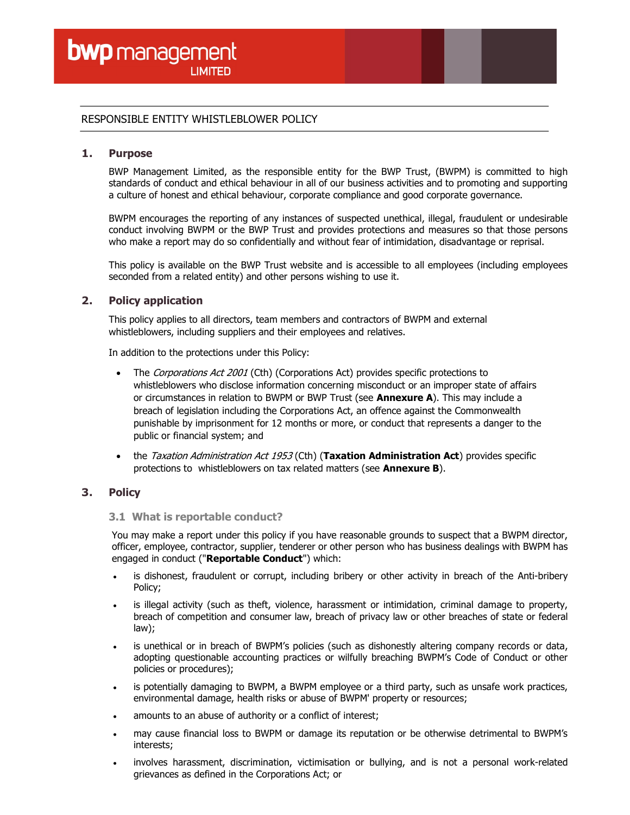## RESPONSIBLE ENTITY WHISTLEBLOWER POLICY

### 1. Purpose

BWP Management Limited, as the responsible entity for the BWP Trust, (BWPM) is committed to high standards of conduct and ethical behaviour in all of our business activities and to promoting and supporting a culture of honest and ethical behaviour, corporate compliance and good corporate governance.

BWPM encourages the reporting of any instances of suspected unethical, illegal, fraudulent or undesirable conduct involving BWPM or the BWP Trust and provides protections and measures so that those persons who make a report may do so confidentially and without fear of intimidation, disadvantage or reprisal.

This policy is available on the BWP Trust website and is accessible to all employees (including employees seconded from a related entity) and other persons wishing to use it.

## 2. Policy application

This policy applies to all directors, team members and contractors of BWPM and external whistleblowers, including suppliers and their employees and relatives.

In addition to the protections under this Policy:

- The Corporations Act 2001 (Cth) (Corporations Act) provides specific protections to whistleblowers who disclose information concerning misconduct or an improper state of affairs or circumstances in relation to BWPM or BWP Trust (see **Annexure A**). This may include a breach of legislation including the Corporations Act, an offence against the Commonwealth punishable by imprisonment for 12 months or more, or conduct that represents a danger to the public or financial system; and
- the Taxation Administration Act 1953 (Cth) (Taxation Administration Act) provides specific protections to whistleblowers on tax related matters (see Annexure B).

## 3. Policy

## 3.1 What is reportable conduct?

You may make a report under this policy if you have reasonable grounds to suspect that a BWPM director, officer, employee, contractor, supplier, tenderer or other person who has business dealings with BWPM has engaged in conduct ("Reportable Conduct") which:

- is dishonest, fraudulent or corrupt, including bribery or other activity in breach of the Anti-bribery Policy;
- is illegal activity (such as theft, violence, harassment or intimidation, criminal damage to property, breach of competition and consumer law, breach of privacy law or other breaches of state or federal law);
- is unethical or in breach of BWPM's policies (such as dishonestly altering company records or data, adopting questionable accounting practices or wilfully breaching BWPM's Code of Conduct or other policies or procedures);
- is potentially damaging to BWPM, a BWPM employee or a third party, such as unsafe work practices, environmental damage, health risks or abuse of BWPM' property or resources;
- amounts to an abuse of authority or a conflict of interest;
- may cause financial loss to BWPM or damage its reputation or be otherwise detrimental to BWPM's interests;
- involves harassment, discrimination, victimisation or bullying, and is not a personal work-related grievances as defined in the Corporations Act; or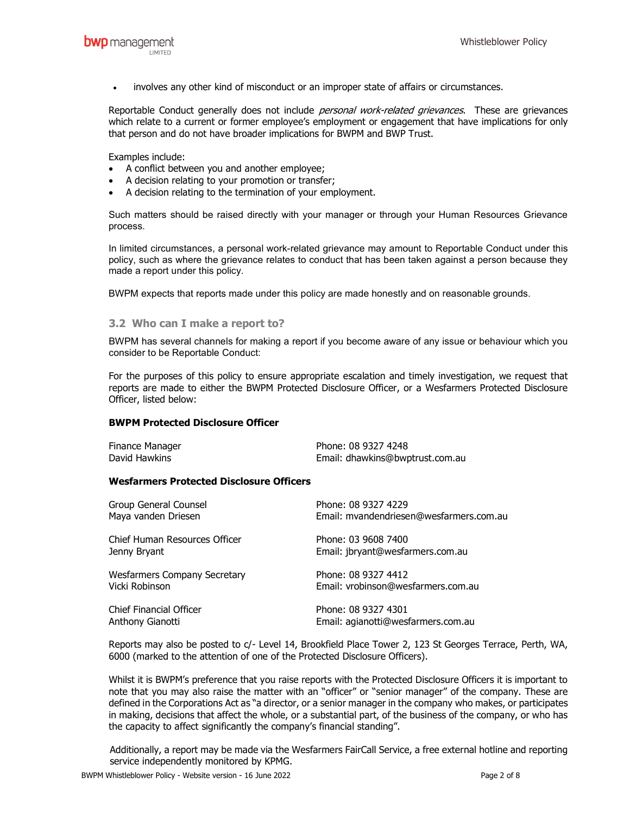involves any other kind of misconduct or an improper state of affairs or circumstances.

Reportable Conduct generally does not include *personal work-related grievances*. These are grievances which relate to a current or former employee's employment or engagement that have implications for only that person and do not have broader implications for BWPM and BWP Trust.

Examples include:

- A conflict between you and another employee;
- A decision relating to your promotion or transfer;
- A decision relating to the termination of your employment.

Such matters should be raised directly with your manager or through your Human Resources Grievance process.

In limited circumstances, a personal work-related grievance may amount to Reportable Conduct under this policy, such as where the grievance relates to conduct that has been taken against a person because they made a report under this policy.

BWPM expects that reports made under this policy are made honestly and on reasonable grounds.

### 3.2 Who can I make a report to?

BWPM has several channels for making a report if you become aware of any issue or behaviour which you consider to be Reportable Conduct:

For the purposes of this policy to ensure appropriate escalation and timely investigation, we request that reports are made to either the BWPM Protected Disclosure Officer, or a Wesfarmers Protected Disclosure Officer, listed below:

#### BWPM Protected Disclosure Officer

| Finance Manager | Phone: 08 9327 4248             |
|-----------------|---------------------------------|
| David Hawkins   | Email: dhawkins@bwptrust.com.au |

#### Wesfarmers Protected Disclosure Officers

| Group General Counsel               | Phone: 08 9327 4229                     |
|-------------------------------------|-----------------------------------------|
| Maya vanden Driesen                 | Email: mvandendriesen@wesfarmers.com.au |
| Chief Human Resources Officer       | Phone: 03 9608 7400                     |
| Jenny Bryant                        | Email: jbryant@wesfarmers.com.au        |
| <b>Wesfarmers Company Secretary</b> | Phone: 08 9327 4412                     |
| Vicki Robinson                      | Email: vrobinson@wesfarmers.com.au      |
| Chief Financial Officer             | Phone: 08 9327 4301                     |
| Anthony Gianotti                    | Email: agianotti@wesfarmers.com.au      |

Reports may also be posted to c/- Level 14, Brookfield Place Tower 2, 123 St Georges Terrace, Perth, WA, 6000 (marked to the attention of one of the Protected Disclosure Officers).

Whilst it is BWPM's preference that you raise reports with the Protected Disclosure Officers it is important to note that you may also raise the matter with an "officer" or "senior manager" of the company. These are defined in the Corporations Act as "a director, or a senior manager in the company who makes, or participates in making, decisions that affect the whole, or a substantial part, of the business of the company, or who has the capacity to affect significantly the company's financial standing".

Additionally, a report may be made via the Wesfarmers FairCall Service, a free external hotline and reporting service independently monitored by KPMG.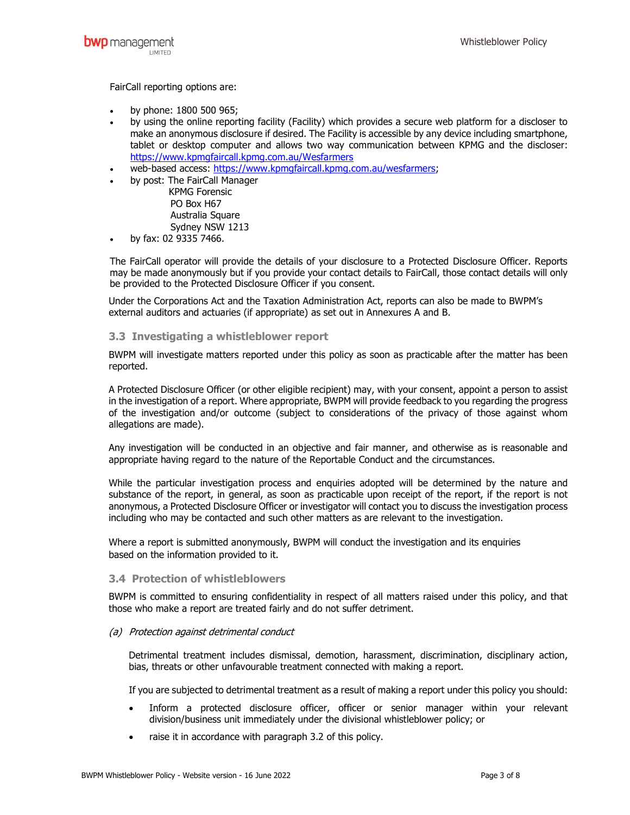FairCall reporting options are:

- by phone: 1800 500 965;
- by using the online reporting facility (Facility) which provides a secure web platform for a discloser to make an anonymous disclosure if desired. The Facility is accessible by any device including smartphone, tablet or desktop computer and allows two way communication between KPMG and the discloser: https://www.kpmgfaircall.kpmg.com.au/Wesfarmers
- web-based access: https://www.kpmgfaircall.kpmg.com.au/wesfarmers;
- by post: The FairCall Manager
	- KPMG Forensic PO Box H67 Australia Square Sydney NSW 1213
- by fax: 02 9335 7466.

The FairCall operator will provide the details of your disclosure to a Protected Disclosure Officer. Reports may be made anonymously but if you provide your contact details to FairCall, those contact details will only be provided to the Protected Disclosure Officer if you consent.

Under the Corporations Act and the Taxation Administration Act, reports can also be made to BWPM's external auditors and actuaries (if appropriate) as set out in Annexures A and B.

### 3.3 Investigating a whistleblower report

BWPM will investigate matters reported under this policy as soon as practicable after the matter has been reported.

A Protected Disclosure Officer (or other eligible recipient) may, with your consent, appoint a person to assist in the investigation of a report. Where appropriate, BWPM will provide feedback to you regarding the progress of the investigation and/or outcome (subject to considerations of the privacy of those against whom allegations are made).

Any investigation will be conducted in an objective and fair manner, and otherwise as is reasonable and appropriate having regard to the nature of the Reportable Conduct and the circumstances.

While the particular investigation process and enquiries adopted will be determined by the nature and substance of the report, in general, as soon as practicable upon receipt of the report, if the report is not anonymous, a Protected Disclosure Officer or investigator will contact you to discuss the investigation process including who may be contacted and such other matters as are relevant to the investigation.

Where a report is submitted anonymously, BWPM will conduct the investigation and its enquiries based on the information provided to it.

#### 3.4 Protection of whistleblowers

BWPM is committed to ensuring confidentiality in respect of all matters raised under this policy, and that those who make a report are treated fairly and do not suffer detriment.

#### (a) Protection against detrimental conduct

Detrimental treatment includes dismissal, demotion, harassment, discrimination, disciplinary action, bias, threats or other unfavourable treatment connected with making a report.

If you are subjected to detrimental treatment as a result of making a report under this policy you should:

- Inform a protected disclosure officer, officer or senior manager within your relevant division/business unit immediately under the divisional whistleblower policy; or
- raise it in accordance with paragraph 3.2 of this policy.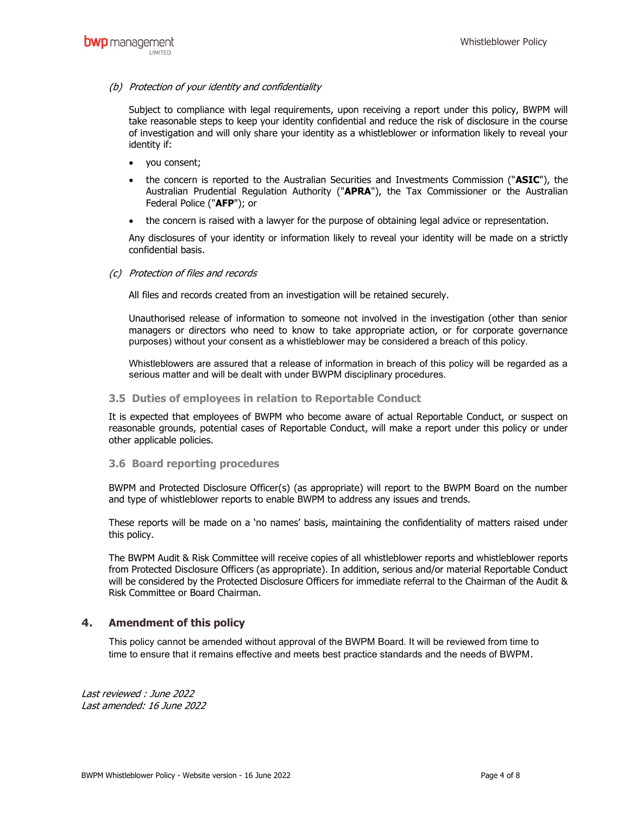### (b) Protection of your identity and confidentiality

Subject to compliance with legal requirements, upon receiving a report under this policy, BWPM will take reasonable steps to keep your identity confidential and reduce the risk of disclosure in the course of investigation and will only share your identity as a whistleblower or information likely to reveal your identity if:

- you consent;
- the concern is reported to the Australian Securities and Investments Commission ("ASIC"), the Australian Prudential Regulation Authority ("APRA"), the Tax Commissioner or the Australian Federal Police ("AFP"); or
- the concern is raised with a lawyer for the purpose of obtaining legal advice or representation.

Any disclosures of your identity or information likely to reveal your identity will be made on a strictly confidential basis.

### (c) Protection of files and records

All files and records created from an investigation will be retained securely.

Unauthorised release of information to someone not involved in the investigation (other than senior managers or directors who need to know to take appropriate action, or for corporate governance purposes) without your consent as a whistleblower may be considered a breach of this policy.

Whistleblowers are assured that a release of information in breach of this policy will be regarded as a serious matter and will be dealt with under BWPM disciplinary procedures.

#### 3.5 Duties of employees in relation to Reportable Conduct

It is expected that employees of BWPM who become aware of actual Reportable Conduct, or suspect on reasonable grounds, potential cases of Reportable Conduct, will make a report under this policy or under other applicable policies.

#### 3.6 Board reporting procedures

BWPM and Protected Disclosure Officer(s) (as appropriate) will report to the BWPM Board on the number and type of whistleblower reports to enable BWPM to address any issues and trends.

These reports will be made on a 'no names' basis, maintaining the confidentiality of matters raised under this policy.

The BWPM Audit & Risk Committee will receive copies of all whistleblower reports and whistleblower reports from Protected Disclosure Officers (as appropriate). In addition, serious and/or material Reportable Conduct will be considered by the Protected Disclosure Officers for immediate referral to the Chairman of the Audit & Risk Committee or Board Chairman.

## 4. Amendment of this policy

This policy cannot be amended without approval of the BWPM Board. It will be reviewed from time to time to ensure that it remains effective and meets best practice standards and the needs of BWPM.

Last reviewed : June 2022 Last amended: 16 June 2022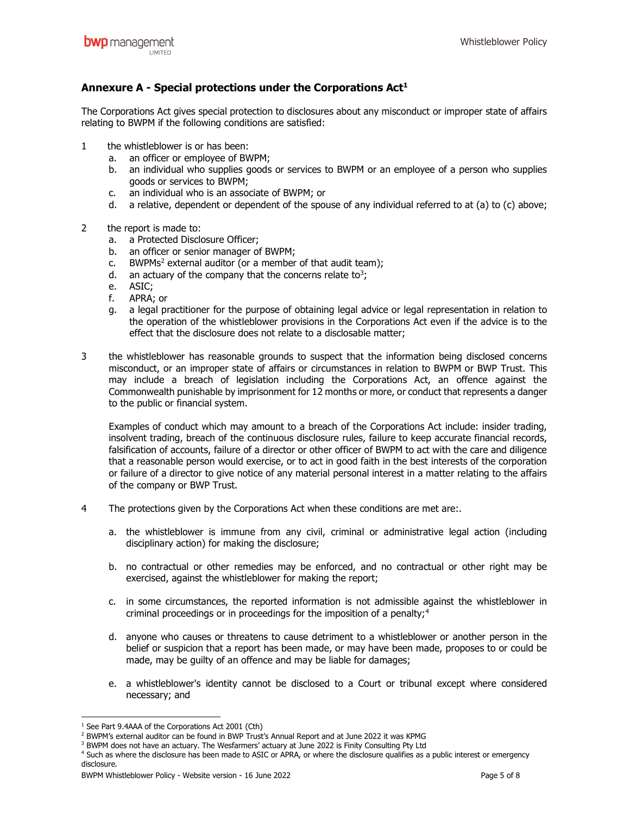# Annexure A - Special protections under the Corporations  $Act<sup>1</sup>$

The Corporations Act gives special protection to disclosures about any misconduct or improper state of affairs relating to BWPM if the following conditions are satisfied:

- 1 the whistleblower is or has been:
	- a. an officer or employee of BWPM;
	- b. an individual who supplies goods or services to BWPM or an employee of a person who supplies goods or services to BWPM;
	- c. an individual who is an associate of BWPM; or
	- d. a relative, dependent or dependent of the spouse of any individual referred to at (a) to (c) above;
- 2 the report is made to:
	- a. a Protected Disclosure Officer;
	- b. an officer or senior manager of BWPM;
	- c. BWPMs<sup>2</sup> external auditor (or a member of that audit team);
	- d. an actuary of the company that the concerns relate to<sup>3</sup>;
	- e. ASIC;
	- f. APRA; or
	- g. a legal practitioner for the purpose of obtaining legal advice or legal representation in relation to the operation of the whistleblower provisions in the Corporations Act even if the advice is to the effect that the disclosure does not relate to a disclosable matter;
- 3 the whistleblower has reasonable grounds to suspect that the information being disclosed concerns misconduct, or an improper state of affairs or circumstances in relation to BWPM or BWP Trust. This may include a breach of legislation including the Corporations Act, an offence against the Commonwealth punishable by imprisonment for 12 months or more, or conduct that represents a danger to the public or financial system.

Examples of conduct which may amount to a breach of the Corporations Act include: insider trading, insolvent trading, breach of the continuous disclosure rules, failure to keep accurate financial records, falsification of accounts, failure of a director or other officer of BWPM to act with the care and diligence that a reasonable person would exercise, or to act in good faith in the best interests of the corporation or failure of a director to give notice of any material personal interest in a matter relating to the affairs of the company or BWP Trust.

- 4 The protections given by the Corporations Act when these conditions are met are:.
	- a. the whistleblower is immune from any civil, criminal or administrative legal action (including disciplinary action) for making the disclosure;
	- b. no contractual or other remedies may be enforced, and no contractual or other right may be exercised, against the whistleblower for making the report;
	- c. in some circumstances, the reported information is not admissible against the whistleblower in criminal proceedings or in proceedings for the imposition of a penalty;<sup>4</sup>
	- d. anyone who causes or threatens to cause detriment to a whistleblower or another person in the belief or suspicion that a report has been made, or may have been made, proposes to or could be made, may be guilty of an offence and may be liable for damages;
	- e. a whistleblower's identity cannot be disclosed to a Court or tribunal except where considered necessary; and

<sup>&</sup>lt;sup>1</sup> See Part 9.4AAA of the Corporations Act 2001 (Cth)

<sup>&</sup>lt;sup>2</sup> BWPM's external auditor can be found in BWP Trust's Annual Report and at June 2022 it was KPMG

<sup>&</sup>lt;sup>3</sup> BWPM does not have an actuary. The Wesfarmers' actuary at June 2022 is Finity Consulting Pty Ltd

<sup>4</sup> Such as where the disclosure has been made to ASIC or APRA, or where the disclosure qualifies as a public interest or emergency disclosure.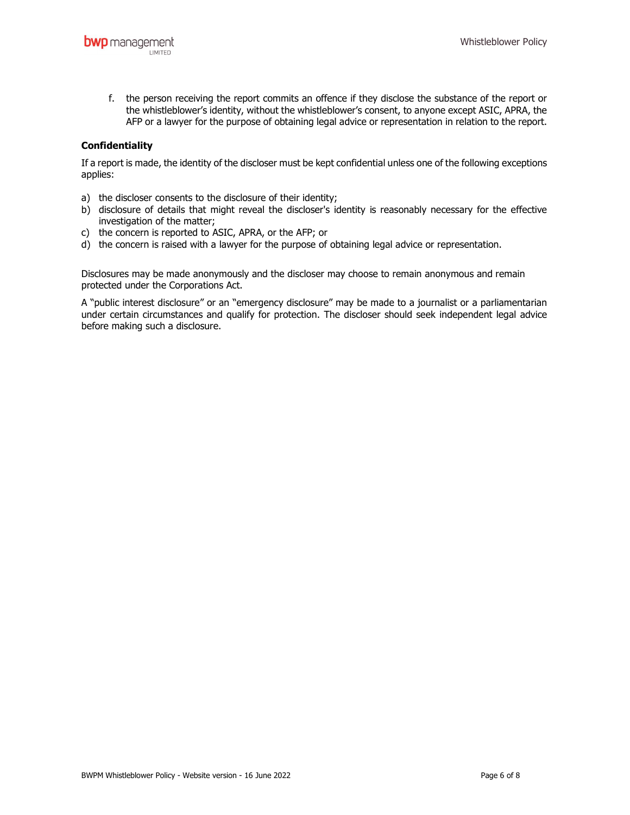f. the person receiving the report commits an offence if they disclose the substance of the report or the whistleblower's identity, without the whistleblower's consent, to anyone except ASIC, APRA, the AFP or a lawyer for the purpose of obtaining legal advice or representation in relation to the report.

## Confidentiality

If a report is made, the identity of the discloser must be kept confidential unless one of the following exceptions applies:

- a) the discloser consents to the disclosure of their identity;
- b) disclosure of details that might reveal the discloser's identity is reasonably necessary for the effective investigation of the matter;
- c) the concern is reported to ASIC, APRA, or the AFP; or
- d) the concern is raised with a lawyer for the purpose of obtaining legal advice or representation.

Disclosures may be made anonymously and the discloser may choose to remain anonymous and remain protected under the Corporations Act.

A "public interest disclosure" or an "emergency disclosure" may be made to a journalist or a parliamentarian under certain circumstances and qualify for protection. The discloser should seek independent legal advice before making such a disclosure.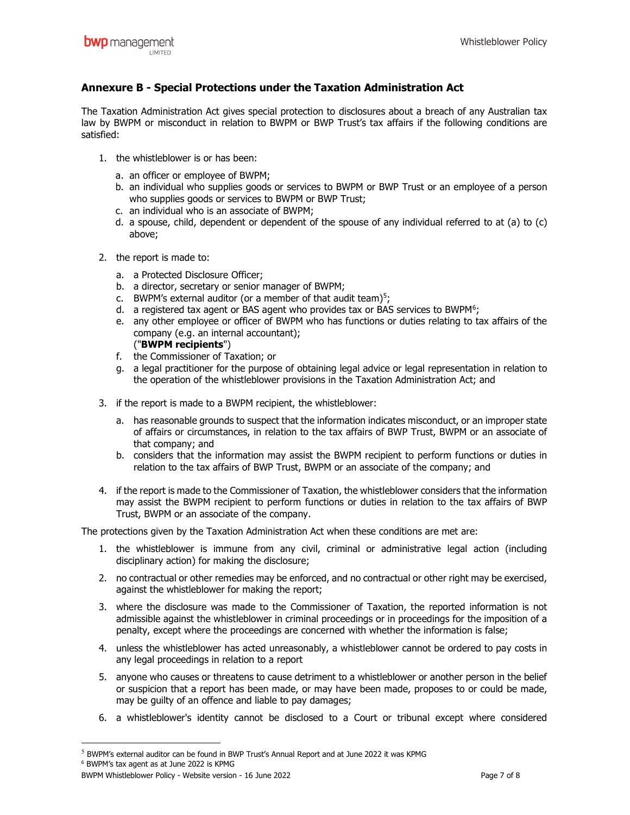# Annexure B - Special Protections under the Taxation Administration Act

The Taxation Administration Act gives special protection to disclosures about a breach of any Australian tax law by BWPM or misconduct in relation to BWPM or BWP Trust's tax affairs if the following conditions are satisfied:

- 1. the whistleblower is or has been:
	- a. an officer or employee of BWPM;
	- b. an individual who supplies goods or services to BWPM or BWP Trust or an employee of a person who supplies goods or services to BWPM or BWP Trust;
	- c. an individual who is an associate of BWPM;
	- d. a spouse, child, dependent or dependent of the spouse of any individual referred to at (a) to (c) above;
- 2. the report is made to:
	- a. a Protected Disclosure Officer;
	- b. a director, secretary or senior manager of BWPM;
	- c. BWPM's external auditor (or a member of that audit team)<sup>5</sup>;
	- d. a registered tax agent or BAS agent who provides tax or BAS services to BWPM<sup>6</sup>;
	- e. any other employee or officer of BWPM who has functions or duties relating to tax affairs of the company (e.g. an internal accountant); ("BWPM recipients")
	- f. the Commissioner of Taxation; or
	- g. a legal practitioner for the purpose of obtaining legal advice or legal representation in relation to the operation of the whistleblower provisions in the Taxation Administration Act; and
- 3. if the report is made to a BWPM recipient, the whistleblower:
	- a. has reasonable grounds to suspect that the information indicates misconduct, or an improper state of affairs or circumstances, in relation to the tax affairs of BWP Trust, BWPM or an associate of that company; and
	- b. considers that the information may assist the BWPM recipient to perform functions or duties in relation to the tax affairs of BWP Trust, BWPM or an associate of the company; and
- 4. if the report is made to the Commissioner of Taxation, the whistleblower considers that the information may assist the BWPM recipient to perform functions or duties in relation to the tax affairs of BWP Trust, BWPM or an associate of the company.

The protections given by the Taxation Administration Act when these conditions are met are:

- 1. the whistleblower is immune from any civil, criminal or administrative legal action (including disciplinary action) for making the disclosure;
- 2. no contractual or other remedies may be enforced, and no contractual or other right may be exercised, against the whistleblower for making the report;
- 3. where the disclosure was made to the Commissioner of Taxation, the reported information is not admissible against the whistleblower in criminal proceedings or in proceedings for the imposition of a penalty, except where the proceedings are concerned with whether the information is false;
- 4. unless the whistleblower has acted unreasonably, a whistleblower cannot be ordered to pay costs in any legal proceedings in relation to a report
- 5. anyone who causes or threatens to cause detriment to a whistleblower or another person in the belief or suspicion that a report has been made, or may have been made, proposes to or could be made, may be guilty of an offence and liable to pay damages;
- 6. a whistleblower's identity cannot be disclosed to a Court or tribunal except where considered

<sup>5</sup> BWPM's external auditor can be found in BWP Trust's Annual Report and at June 2022 it was KPMG

<sup>6</sup> BWPM's tax agent as at June 2022 is KPMG

BWPM Whistleblower Policy - Website version - 16 June 2022 Page 7 of 8